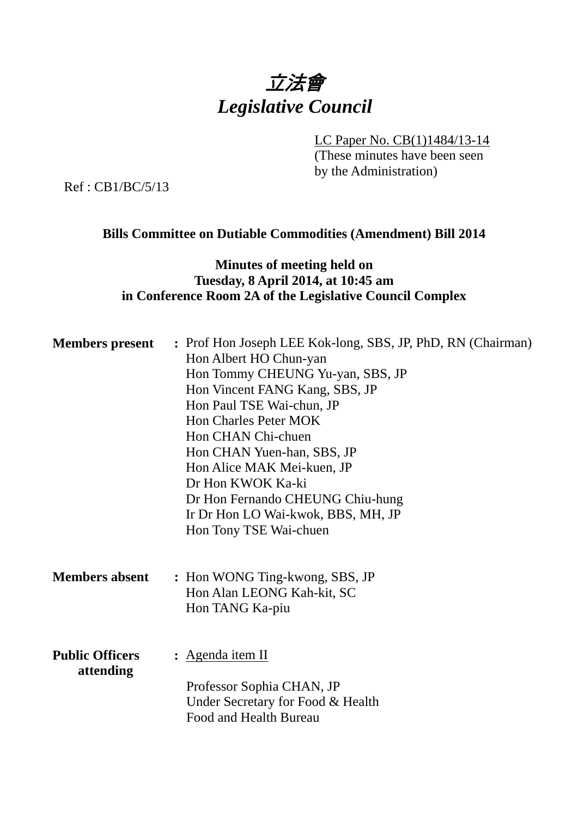# 立法會 *Legislative Council*

LC Paper No. CB(1)1484/13-14

(These minutes have been seen by the Administration)

Ref : CB1/BC/5/13

# **Bills Committee on Dutiable Commodities (Amendment) Bill 2014**

# **Minutes of meeting held on Tuesday, 8 April 2014, at 10:45 am in Conference Room 2A of the Legislative Council Complex**

| <b>Members present</b>              | : Prof Hon Joseph LEE Kok-long, SBS, JP, PhD, RN (Chairman)<br>Hon Albert HO Chun-yan<br>Hon Tommy CHEUNG Yu-yan, SBS, JP<br>Hon Vincent FANG Kang, SBS, JP<br>Hon Paul TSE Wai-chun, JP<br><b>Hon Charles Peter MOK</b><br>Hon CHAN Chi-chuen<br>Hon CHAN Yuen-han, SBS, JP<br>Hon Alice MAK Mei-kuen, JP<br>Dr Hon KWOK Ka-ki<br>Dr Hon Fernando CHEUNG Chiu-hung<br>Ir Dr Hon LO Wai-kwok, BBS, MH, JP<br>Hon Tony TSE Wai-chuen |
|-------------------------------------|-------------------------------------------------------------------------------------------------------------------------------------------------------------------------------------------------------------------------------------------------------------------------------------------------------------------------------------------------------------------------------------------------------------------------------------|
| <b>Members absent</b>               | : Hon WONG Ting-kwong, SBS, JP<br>Hon Alan LEONG Kah-kit, SC<br>Hon TANG Ka-piu                                                                                                                                                                                                                                                                                                                                                     |
| <b>Public Officers</b><br>attending | : <u>Agenda item II</u><br>Professor Sophia CHAN, JP<br>Under Secretary for Food & Health<br>Food and Health Bureau                                                                                                                                                                                                                                                                                                                 |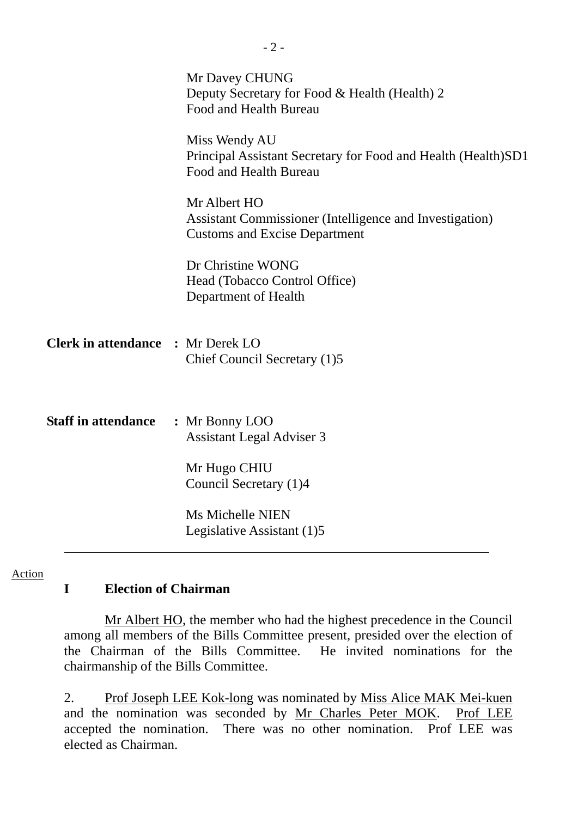|                                          | Mr Davey CHUNG<br>Deputy Secretary for Food & Health (Health) 2<br>Food and Health Bureau                       |
|------------------------------------------|-----------------------------------------------------------------------------------------------------------------|
|                                          | Miss Wendy AU<br>Principal Assistant Secretary for Food and Health (Health) SD1<br>Food and Health Bureau       |
|                                          | Mr Albert HO<br>Assistant Commissioner (Intelligence and Investigation)<br><b>Customs and Excise Department</b> |
|                                          | Dr Christine WONG<br>Head (Tobacco Control Office)<br>Department of Health                                      |
| <b>Clerk in attendance : Mr Derek LO</b> | Chief Council Secretary (1)5                                                                                    |
| <b>Staff in attendance</b>               | : Mr Bonny LOO<br><b>Assistant Legal Adviser 3</b>                                                              |
|                                          | Mr Hugo CHIU<br>Council Secretary (1)4                                                                          |
|                                          | <b>Ms Michelle NIEN</b><br>Legislative Assistant (1)5                                                           |

Action

### **I Election of Chairman**

 Mr Albert HO, the member who had the highest precedence in the Council among all members of the Bills Committee present, presided over the election of the Chairman of the Bills Committee. He invited nominations for the chairmanship of the Bills Committee.

2. Prof Joseph LEE Kok-long was nominated by Miss Alice MAK Mei-kuen and the nomination was seconded by Mr Charles Peter MOK. Prof LEE accepted the nomination. There was no other nomination. Prof LEE was elected as Chairman.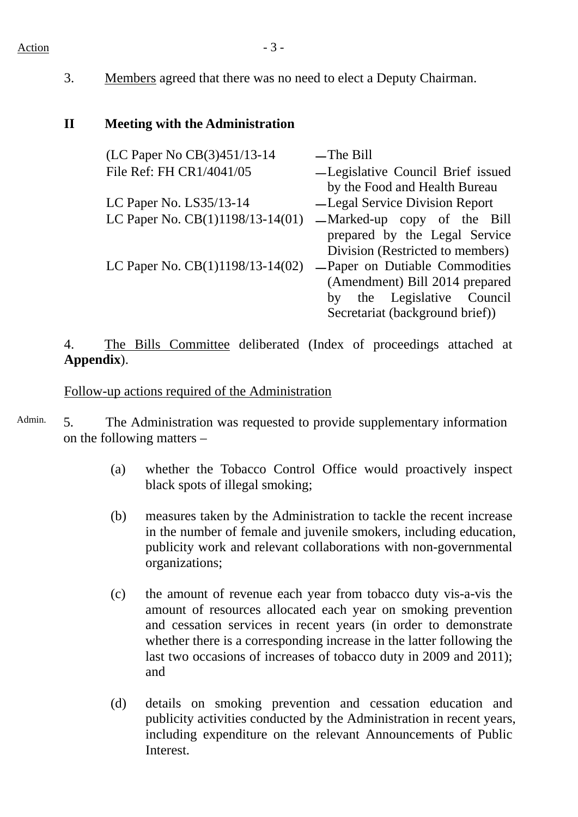#### Action  $-3$  -

3. Members agreed that there was no need to elect a Deputy Chairman.

## **II Meeting with the Administration**

| (LC Paper No CB(3)451/13-14        | $-$ The Bill                      |
|------------------------------------|-----------------------------------|
| File Ref: FH CR1/4041/05           | -Legislative Council Brief issued |
|                                    | by the Food and Health Bureau     |
| LC Paper No. LS35/13-14            | -Legal Service Division Report    |
| LC Paper No. $CB(1)1198/13-14(01)$ | —Marked-up copy of the Bill       |
|                                    | prepared by the Legal Service     |
|                                    | Division (Restricted to members)  |
| LC Paper No. CB(1)1198/13-14(02)   | -Paper on Dutiable Commodities    |
|                                    | (Amendment) Bill 2014 prepared    |
|                                    | the Legislative Council<br>by     |
|                                    | Secretariat (background brief))   |

4. The Bills Committee deliberated (Index of proceedings attached at **Appendix**).

### Follow-up actions required of the Administration

Admin. 5. The Administration was requested to provide supplementary information on the following matters –

- (a) whether the Tobacco Control Office would proactively inspect black spots of illegal smoking;
- (b) measures taken by the Administration to tackle the recent increase in the number of female and juvenile smokers, including education, publicity work and relevant collaborations with non-governmental organizations;
- (c) the amount of revenue each year from tobacco duty vis-a-vis the amount of resources allocated each year on smoking prevention and cessation services in recent years (in order to demonstrate whether there is a corresponding increase in the latter following the last two occasions of increases of tobacco duty in 2009 and 2011); and
- (d) details on smoking prevention and cessation education and publicity activities conducted by the Administration in recent years, including expenditure on the relevant Announcements of Public Interest.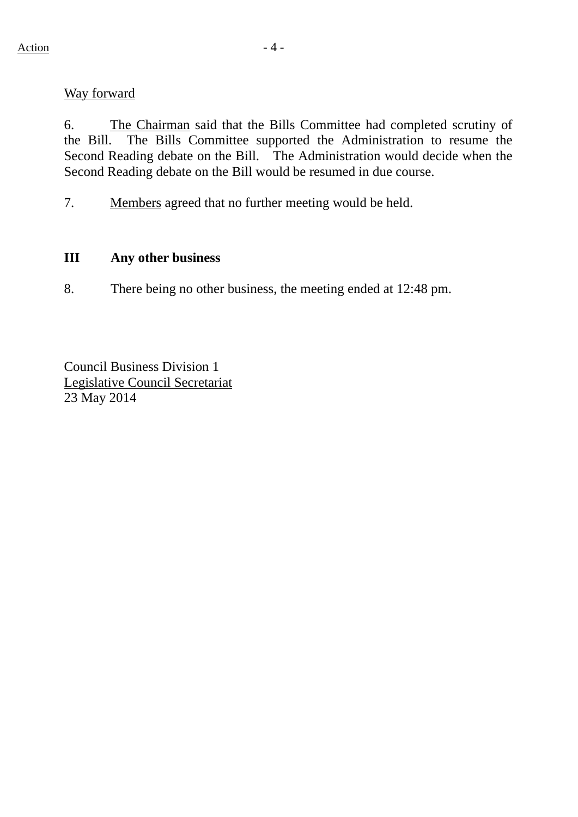#### Way forward

6. The Chairman said that the Bills Committee had completed scrutiny of the Bill. The Bills Committee supported the Administration to resume the Second Reading debate on the Bill. The Administration would decide when the Second Reading debate on the Bill would be resumed in due course.

7. Members agreed that no further meeting would be held.

#### **III Any other business**

8. There being no other business, the meeting ended at 12:48 pm.

Council Business Division 1 Legislative Council Secretariat 23 May 2014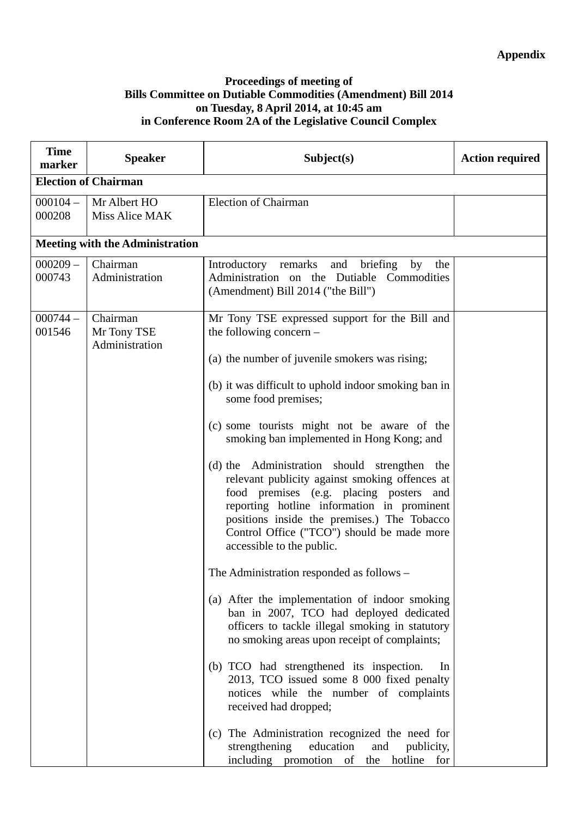#### **Proceedings of meeting of Bills Committee on Dutiable Commodities (Amendment) Bill 2014 on Tuesday, 8 April 2014, at 10:45 am in Conference Room 2A of the Legislative Council Complex**

| <b>Time</b><br>marker | <b>Speaker</b>                            | Subject(s)                                                                                                                                                                                                                                                                                                                                                                                                                                                                                                                                                                                                                                                                                                                                                                                                                                                                                                                                                                                                                                                                                                                                        | <b>Action required</b> |
|-----------------------|-------------------------------------------|---------------------------------------------------------------------------------------------------------------------------------------------------------------------------------------------------------------------------------------------------------------------------------------------------------------------------------------------------------------------------------------------------------------------------------------------------------------------------------------------------------------------------------------------------------------------------------------------------------------------------------------------------------------------------------------------------------------------------------------------------------------------------------------------------------------------------------------------------------------------------------------------------------------------------------------------------------------------------------------------------------------------------------------------------------------------------------------------------------------------------------------------------|------------------------|
|                       | <b>Election of Chairman</b>               |                                                                                                                                                                                                                                                                                                                                                                                                                                                                                                                                                                                                                                                                                                                                                                                                                                                                                                                                                                                                                                                                                                                                                   |                        |
| $000104 -$<br>000208  | Mr Albert HO<br>Miss Alice MAK            | <b>Election of Chairman</b>                                                                                                                                                                                                                                                                                                                                                                                                                                                                                                                                                                                                                                                                                                                                                                                                                                                                                                                                                                                                                                                                                                                       |                        |
|                       | <b>Meeting with the Administration</b>    |                                                                                                                                                                                                                                                                                                                                                                                                                                                                                                                                                                                                                                                                                                                                                                                                                                                                                                                                                                                                                                                                                                                                                   |                        |
| $000209 -$<br>000743  | Chairman<br>Administration                | and<br>briefing<br>Introductory remarks<br>by<br>the<br>Administration on the Dutiable Commodities<br>(Amendment) Bill 2014 ("the Bill")                                                                                                                                                                                                                                                                                                                                                                                                                                                                                                                                                                                                                                                                                                                                                                                                                                                                                                                                                                                                          |                        |
| $000744 -$<br>001546  | Chairman<br>Mr Tony TSE<br>Administration | Mr Tony TSE expressed support for the Bill and<br>the following concern $-$<br>(a) the number of juvenile smokers was rising;<br>(b) it was difficult to uphold indoor smoking ban in<br>some food premises;<br>(c) some tourists might not be aware of the<br>smoking ban implemented in Hong Kong; and<br>(d) the Administration should strengthen the<br>relevant publicity against smoking offences at<br>food premises (e.g. placing posters and<br>reporting hotline information in prominent<br>positions inside the premises.) The Tobacco<br>Control Office ("TCO") should be made more<br>accessible to the public.<br>The Administration responded as follows –<br>(a) After the implementation of indoor smoking<br>ban in 2007, TCO had deployed dedicated<br>officers to tackle illegal smoking in statutory<br>no smoking areas upon receipt of complaints;<br>(b) TCO had strengthened its inspection.<br>In<br>2013, TCO issued some 8 000 fixed penalty<br>notices while the number of complaints<br>received had dropped;<br>(c) The Administration recognized the need for<br>education<br>strengthening<br>publicity,<br>and |                        |
|                       |                                           | including promotion of the hotline<br>for                                                                                                                                                                                                                                                                                                                                                                                                                                                                                                                                                                                                                                                                                                                                                                                                                                                                                                                                                                                                                                                                                                         |                        |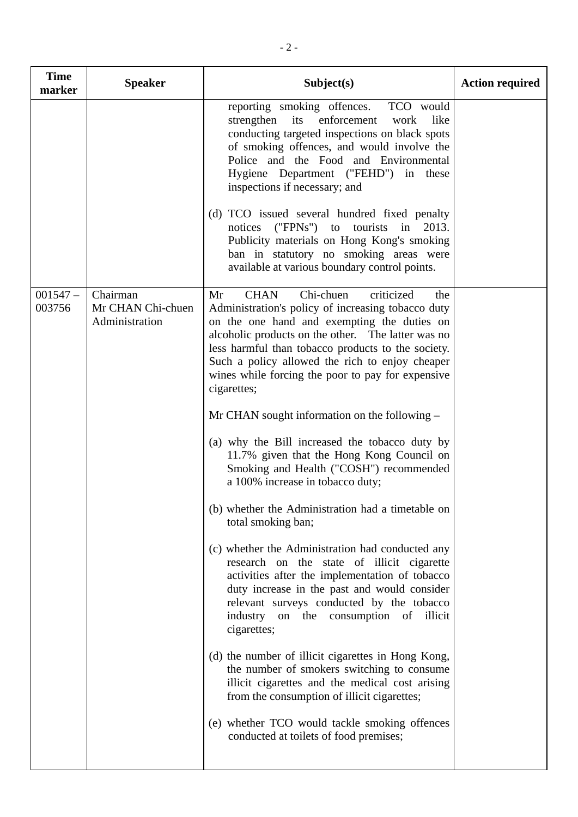| <b>Time</b><br>marker | <b>Speaker</b>                                  | Subject(s)                                                                                                                                                                                                                                                                                                                                                                                                                                                                                                                                                                                                                                                                                                                                                                                                                                                                                                                                                                                                                                                                                                                                                                                                                                                                                                       | <b>Action required</b> |
|-----------------------|-------------------------------------------------|------------------------------------------------------------------------------------------------------------------------------------------------------------------------------------------------------------------------------------------------------------------------------------------------------------------------------------------------------------------------------------------------------------------------------------------------------------------------------------------------------------------------------------------------------------------------------------------------------------------------------------------------------------------------------------------------------------------------------------------------------------------------------------------------------------------------------------------------------------------------------------------------------------------------------------------------------------------------------------------------------------------------------------------------------------------------------------------------------------------------------------------------------------------------------------------------------------------------------------------------------------------------------------------------------------------|------------------------|
|                       |                                                 | reporting smoking offences.<br>TCO would<br>enforcement<br>strengthen<br>its<br>like<br>work<br>conducting targeted inspections on black spots<br>of smoking offences, and would involve the<br>Police and the Food and Environmental<br>Hygiene Department ("FEHD") in these<br>inspections if necessary; and<br>(d) TCO issued several hundred fixed penalty<br>notices ("FPNs") to tourists<br>2013.<br>in<br>Publicity materials on Hong Kong's smoking<br>ban in statutory no smoking areas were<br>available at various boundary control points.                                                                                                                                                                                                                                                                                                                                                                                                                                                                                                                                                                                                                                                                                                                                                           |                        |
| $001547 -$<br>003756  | Chairman<br>Mr CHAN Chi-chuen<br>Administration | Chi-chuen<br><b>CHAN</b><br>criticized<br>Mr<br>the<br>Administration's policy of increasing tobacco duty<br>on the one hand and exempting the duties on<br>alcoholic products on the other. The latter was no<br>less harmful than tobacco products to the society.<br>Such a policy allowed the rich to enjoy cheaper<br>wines while forcing the poor to pay for expensive<br>cigarettes;<br>Mr CHAN sought information on the following –<br>(a) why the Bill increased the tobacco duty by<br>11.7% given that the Hong Kong Council on<br>Smoking and Health ("COSH") recommended<br>a 100% increase in tobacco duty;<br>(b) whether the Administration had a timetable on<br>total smoking ban;<br>(c) whether the Administration had conducted any<br>research on the state of illicit cigarette<br>activities after the implementation of tobacco<br>duty increase in the past and would consider<br>relevant surveys conducted by the tobacco<br>industry on the consumption of illicit<br>cigarettes;<br>(d) the number of illicit cigarettes in Hong Kong,<br>the number of smokers switching to consume<br>illicit cigarettes and the medical cost arising<br>from the consumption of illicit cigarettes;<br>(e) whether TCO would tackle smoking offences<br>conducted at toilets of food premises; |                        |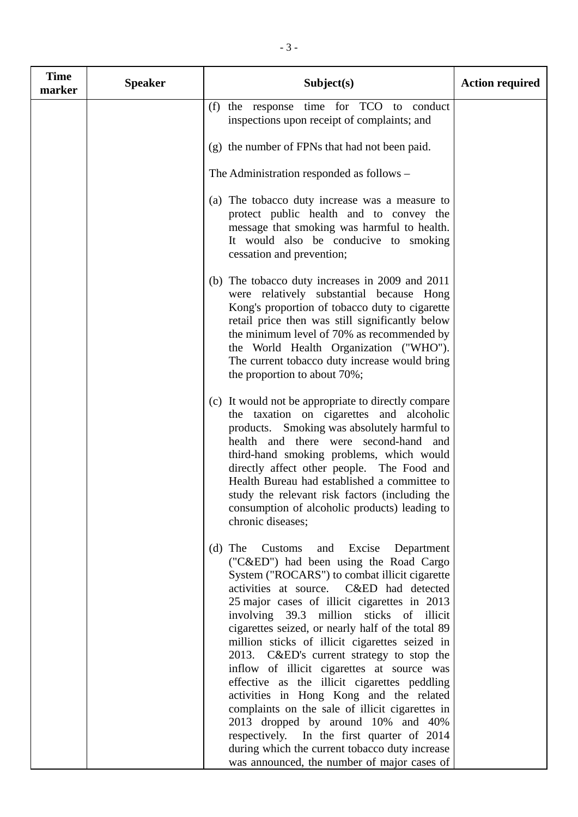| <b>Time</b><br>marker | <b>Speaker</b> | Subject(s)                                                                                                                                                                                                                                                                                                                                                                                                                                                                                                                                                                                                                                                                                                                                                                                                            | <b>Action required</b> |
|-----------------------|----------------|-----------------------------------------------------------------------------------------------------------------------------------------------------------------------------------------------------------------------------------------------------------------------------------------------------------------------------------------------------------------------------------------------------------------------------------------------------------------------------------------------------------------------------------------------------------------------------------------------------------------------------------------------------------------------------------------------------------------------------------------------------------------------------------------------------------------------|------------------------|
|                       |                | (f) the response time for TCO to conduct<br>inspections upon receipt of complaints; and                                                                                                                                                                                                                                                                                                                                                                                                                                                                                                                                                                                                                                                                                                                               |                        |
|                       |                | (g) the number of FPNs that had not been paid.                                                                                                                                                                                                                                                                                                                                                                                                                                                                                                                                                                                                                                                                                                                                                                        |                        |
|                       |                | The Administration responded as follows –                                                                                                                                                                                                                                                                                                                                                                                                                                                                                                                                                                                                                                                                                                                                                                             |                        |
|                       |                | (a) The tobacco duty increase was a measure to<br>protect public health and to convey the<br>message that smoking was harmful to health.<br>It would also be conducive to smoking<br>cessation and prevention;                                                                                                                                                                                                                                                                                                                                                                                                                                                                                                                                                                                                        |                        |
|                       |                | (b) The tobacco duty increases in 2009 and 2011<br>were relatively substantial because Hong<br>Kong's proportion of tobacco duty to cigarette<br>retail price then was still significantly below<br>the minimum level of 70% as recommended by<br>the World Health Organization ("WHO").<br>The current tobacco duty increase would bring<br>the proportion to about 70%;                                                                                                                                                                                                                                                                                                                                                                                                                                             |                        |
|                       |                | (c) It would not be appropriate to directly compare<br>the taxation on cigarettes and alcoholic<br>products. Smoking was absolutely harmful to<br>health and there were second-hand and<br>third-hand smoking problems, which would<br>directly affect other people. The Food and<br>Health Bureau had established a committee to<br>study the relevant risk factors (including the<br>consumption of alcoholic products) leading to<br>chronic diseases;                                                                                                                                                                                                                                                                                                                                                             |                        |
|                       |                | (d) The Customs<br>and<br>Excise<br>Department<br>("C&ED") had been using the Road Cargo<br>System ("ROCARS") to combat illicit cigarette<br>activities at source. C&ED had detected<br>25 major cases of illicit cigarettes in 2013<br>involving 39.3 million sticks of illicit<br>cigarettes seized, or nearly half of the total 89<br>million sticks of illicit cigarettes seized in<br>2013. C&ED's current strategy to stop the<br>inflow of illicit cigarettes at source was<br>effective as the illicit cigarettes peddling<br>activities in Hong Kong and the related<br>complaints on the sale of illicit cigarettes in<br>2013 dropped by around 10% and 40%<br>respectively. In the first quarter of 2014<br>during which the current tobacco duty increase<br>was announced, the number of major cases of |                        |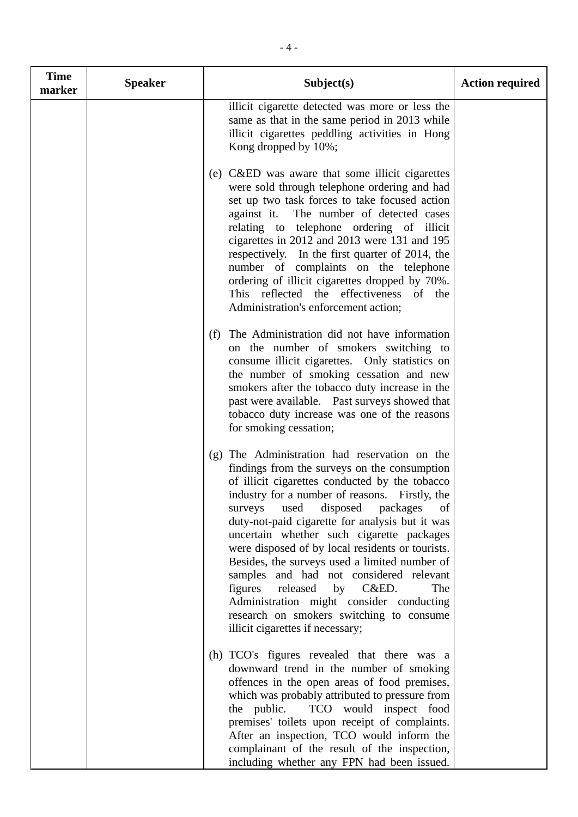| <b>Time</b><br>marker | <b>Speaker</b> | Subject(s)                                                                                                                                                                                                                                                                                                                                                                                                                                                                                                                                                                                                                                                               | <b>Action required</b> |
|-----------------------|----------------|--------------------------------------------------------------------------------------------------------------------------------------------------------------------------------------------------------------------------------------------------------------------------------------------------------------------------------------------------------------------------------------------------------------------------------------------------------------------------------------------------------------------------------------------------------------------------------------------------------------------------------------------------------------------------|------------------------|
|                       |                | illicit cigarette detected was more or less the<br>same as that in the same period in 2013 while<br>illicit cigarettes peddling activities in Hong<br>Kong dropped by 10%;                                                                                                                                                                                                                                                                                                                                                                                                                                                                                               |                        |
|                       |                | (e) C&ED was aware that some illicit cigarettes<br>were sold through telephone ordering and had<br>set up two task forces to take focused action<br>The number of detected cases<br>against it.<br>relating to telephone ordering of illicit<br>cigarettes in 2012 and 2013 were 131 and 195<br>respectively. In the first quarter of 2014, the<br>number of complaints on the telephone<br>ordering of illicit cigarettes dropped by 70%.<br>This reflected the effectiveness of the<br>Administration's enforcement action;                                                                                                                                            |                        |
|                       |                | The Administration did not have information<br>(f)<br>on the number of smokers switching to<br>consume illicit cigarettes. Only statistics on<br>the number of smoking cessation and new<br>smokers after the tobacco duty increase in the<br>past were available. Past surveys showed that<br>tobacco duty increase was one of the reasons<br>for smoking cessation;                                                                                                                                                                                                                                                                                                    |                        |
|                       |                | (g) The Administration had reservation on the<br>findings from the surveys on the consumption<br>of illicit cigarettes conducted by the tobacco<br>industry for a number of reasons. Firstly, the<br>disposed packages<br>used<br>of<br>surveys<br>duty-not-paid cigarette for analysis but it was<br>uncertain whether such cigarette packages<br>were disposed of by local residents or tourists.<br>Besides, the surveys used a limited number of<br>samples and had not considered relevant<br>released<br>figures<br>by<br>C&ED.<br>The<br>Administration might consider conducting<br>research on smokers switching to consume<br>illicit cigarettes if necessary; |                        |
|                       |                | (h) TCO's figures revealed that there was a<br>downward trend in the number of smoking<br>offences in the open areas of food premises,<br>which was probably attributed to pressure from<br>the public.<br>TCO would inspect food<br>premises' toilets upon receipt of complaints.<br>After an inspection, TCO would inform the<br>complainant of the result of the inspection,<br>including whether any FPN had been issued.                                                                                                                                                                                                                                            |                        |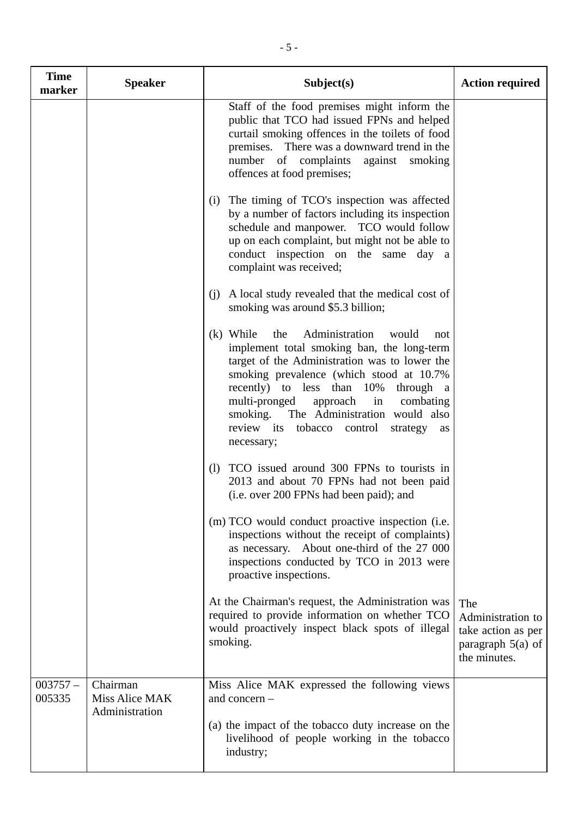| <b>Time</b><br>marker | <b>Speaker</b>                               | Subject(s)                                                                                                                                                                                                                                                                                                                                                                                           | <b>Action required</b>                                                                |
|-----------------------|----------------------------------------------|------------------------------------------------------------------------------------------------------------------------------------------------------------------------------------------------------------------------------------------------------------------------------------------------------------------------------------------------------------------------------------------------------|---------------------------------------------------------------------------------------|
|                       |                                              | Staff of the food premises might inform the<br>public that TCO had issued FPNs and helped<br>curtail smoking offences in the toilets of food<br>premises. There was a downward trend in the<br>number of complaints<br>against<br>smoking<br>offences at food premises;                                                                                                                              |                                                                                       |
|                       |                                              | (i) The timing of TCO's inspection was affected<br>by a number of factors including its inspection<br>schedule and manpower. TCO would follow<br>up on each complaint, but might not be able to<br>conduct inspection on the same day a<br>complaint was received;                                                                                                                                   |                                                                                       |
|                       |                                              | A local study revealed that the medical cost of<br>(i)<br>smoking was around \$5.3 billion;                                                                                                                                                                                                                                                                                                          |                                                                                       |
|                       |                                              | (k) While<br>the<br>Administration<br>would<br>not<br>implement total smoking ban, the long-term<br>target of the Administration was to lower the<br>smoking prevalence (which stood at 10.7%)<br>recently) to less than 10%<br>through a<br>multi-pronged<br>approach<br>in<br>combating<br>The Administration would also<br>smoking.<br>review its tobacco control<br>strategy<br>as<br>necessary; |                                                                                       |
|                       |                                              | TCO issued around 300 FPNs to tourists in<br>(1)<br>2013 and about 70 FPNs had not been paid<br>(i.e. over 200 FPNs had been paid); and                                                                                                                                                                                                                                                              |                                                                                       |
|                       |                                              | (m) TCO would conduct proactive inspection (i.e.<br>inspections without the receipt of complaints)<br>as necessary. About one-third of the 27 000<br>inspections conducted by TCO in 2013 were<br>proactive inspections.                                                                                                                                                                             |                                                                                       |
|                       |                                              | At the Chairman's request, the Administration was<br>required to provide information on whether TCO<br>would proactively inspect black spots of illegal<br>smoking.                                                                                                                                                                                                                                  | The<br>Administration to<br>take action as per<br>paragraph $5(a)$ of<br>the minutes. |
| $003757 -$<br>005335  | Chairman<br>Miss Alice MAK<br>Administration | Miss Alice MAK expressed the following views<br>and concern $-$                                                                                                                                                                                                                                                                                                                                      |                                                                                       |
|                       |                                              | (a) the impact of the tobacco duty increase on the<br>livelihood of people working in the tobacco<br>industry;                                                                                                                                                                                                                                                                                       |                                                                                       |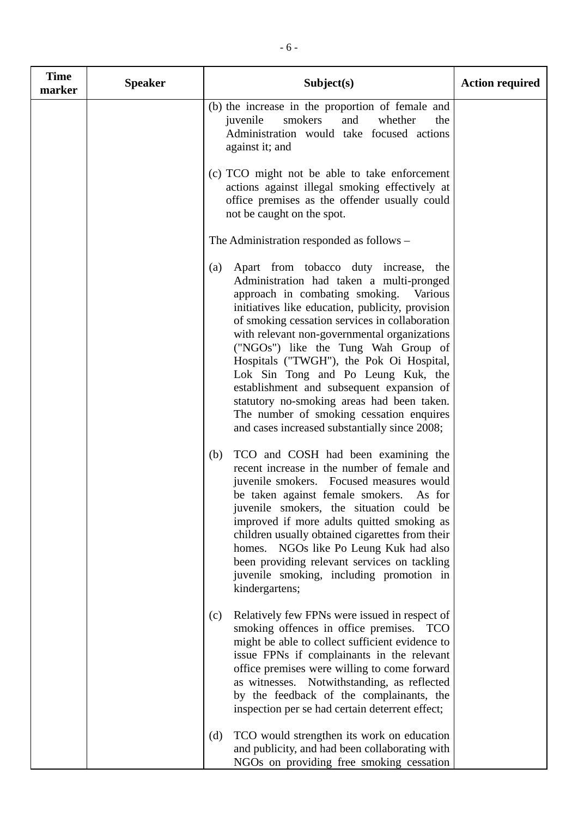| <b>Time</b><br>marker | <b>Speaker</b> | Subject(s)                                                                                                                                                                                                                                                                                                                                                                                                                                                                                                                                                                                                   | <b>Action required</b> |
|-----------------------|----------------|--------------------------------------------------------------------------------------------------------------------------------------------------------------------------------------------------------------------------------------------------------------------------------------------------------------------------------------------------------------------------------------------------------------------------------------------------------------------------------------------------------------------------------------------------------------------------------------------------------------|------------------------|
|                       |                | (b) the increase in the proportion of female and<br>juvenile<br>smokers<br>and<br>whether<br>the<br>Administration would take focused actions<br>against it; and                                                                                                                                                                                                                                                                                                                                                                                                                                             |                        |
|                       |                | (c) TCO might not be able to take enforcement<br>actions against illegal smoking effectively at<br>office premises as the offender usually could<br>not be caught on the spot.                                                                                                                                                                                                                                                                                                                                                                                                                               |                        |
|                       |                | The Administration responded as follows –                                                                                                                                                                                                                                                                                                                                                                                                                                                                                                                                                                    |                        |
|                       |                | Apart from tobacco duty increase, the<br>(a)<br>Administration had taken a multi-pronged<br>approach in combating smoking.<br>Various<br>initiatives like education, publicity, provision<br>of smoking cessation services in collaboration<br>with relevant non-governmental organizations<br>("NGOs") like the Tung Wah Group of<br>Hospitals ("TWGH"), the Pok Oi Hospital,<br>Lok Sin Tong and Po Leung Kuk, the<br>establishment and subsequent expansion of<br>statutory no-smoking areas had been taken.<br>The number of smoking cessation enquires<br>and cases increased substantially since 2008; |                        |
|                       |                | TCO and COSH had been examining the<br>(b)<br>recent increase in the number of female and<br>juvenile smokers. Focused measures would<br>be taken against female smokers.<br>As for<br>juvenile smokers, the situation could be<br>improved if more adults quitted smoking as<br>children usually obtained cigarettes from their<br>homes. NGOs like Po Leung Kuk had also<br>been providing relevant services on tackling<br>juvenile smoking, including promotion in<br>kindergartens;                                                                                                                     |                        |
|                       |                | Relatively few FPNs were issued in respect of<br>(c)<br>smoking offences in office premises. TCO<br>might be able to collect sufficient evidence to<br>issue FPNs if complainants in the relevant<br>office premises were willing to come forward<br>as witnesses. Notwithstanding, as reflected<br>by the feedback of the complainants, the<br>inspection per se had certain deterrent effect;                                                                                                                                                                                                              |                        |
|                       |                | TCO would strengthen its work on education<br>(d)<br>and publicity, and had been collaborating with<br>NGOs on providing free smoking cessation                                                                                                                                                                                                                                                                                                                                                                                                                                                              |                        |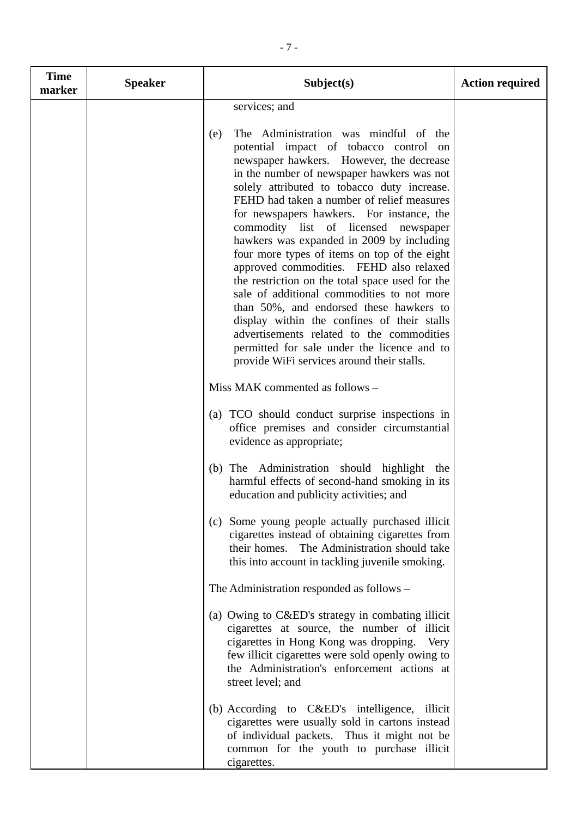| <b>Time</b><br>marker | <b>Speaker</b> | Subject(s)                                                                                                                                                                                                                                                                                                                                                                                                                                                                                                                                                                                                                                                                                                                                                                                                                                      | <b>Action required</b> |
|-----------------------|----------------|-------------------------------------------------------------------------------------------------------------------------------------------------------------------------------------------------------------------------------------------------------------------------------------------------------------------------------------------------------------------------------------------------------------------------------------------------------------------------------------------------------------------------------------------------------------------------------------------------------------------------------------------------------------------------------------------------------------------------------------------------------------------------------------------------------------------------------------------------|------------------------|
|                       |                | services; and                                                                                                                                                                                                                                                                                                                                                                                                                                                                                                                                                                                                                                                                                                                                                                                                                                   |                        |
|                       |                | The Administration was mindful of the<br>(e)<br>potential impact of tobacco control on<br>newspaper hawkers. However, the decrease<br>in the number of newspaper hawkers was not<br>solely attributed to tobacco duty increase.<br>FEHD had taken a number of relief measures<br>for newspapers hawkers. For instance, the<br>commodity list of licensed newspaper<br>hawkers was expanded in 2009 by including<br>four more types of items on top of the eight<br>approved commodities. FEHD also relaxed<br>the restriction on the total space used for the<br>sale of additional commodities to not more<br>than 50%, and endorsed these hawkers to<br>display within the confines of their stalls<br>advertisements related to the commodities<br>permitted for sale under the licence and to<br>provide WiFi services around their stalls. |                        |
|                       |                | Miss MAK commented as follows -                                                                                                                                                                                                                                                                                                                                                                                                                                                                                                                                                                                                                                                                                                                                                                                                                 |                        |
|                       |                | (a) TCO should conduct surprise inspections in<br>office premises and consider circumstantial<br>evidence as appropriate;                                                                                                                                                                                                                                                                                                                                                                                                                                                                                                                                                                                                                                                                                                                       |                        |
|                       |                | The Administration should highlight the<br>(b)<br>harmful effects of second-hand smoking in its<br>education and publicity activities; and                                                                                                                                                                                                                                                                                                                                                                                                                                                                                                                                                                                                                                                                                                      |                        |
|                       |                | Some young people actually purchased illicit<br>(c)<br>cigarettes instead of obtaining cigarettes from<br>The Administration should take<br>their homes.<br>this into account in tackling juvenile smoking.                                                                                                                                                                                                                                                                                                                                                                                                                                                                                                                                                                                                                                     |                        |
|                       |                | The Administration responded as follows –                                                                                                                                                                                                                                                                                                                                                                                                                                                                                                                                                                                                                                                                                                                                                                                                       |                        |
|                       |                | (a) Owing to C&ED's strategy in combating illicit<br>cigarettes at source, the number of illicit<br>cigarettes in Hong Kong was dropping.<br>Very<br>few illicit cigarettes were sold openly owing to<br>the Administration's enforcement actions at<br>street level; and                                                                                                                                                                                                                                                                                                                                                                                                                                                                                                                                                                       |                        |
|                       |                | (b) According to C&ED's intelligence, illicit<br>cigarettes were usually sold in cartons instead<br>of individual packets. Thus it might not be<br>common for the youth to purchase illicit<br>cigarettes.                                                                                                                                                                                                                                                                                                                                                                                                                                                                                                                                                                                                                                      |                        |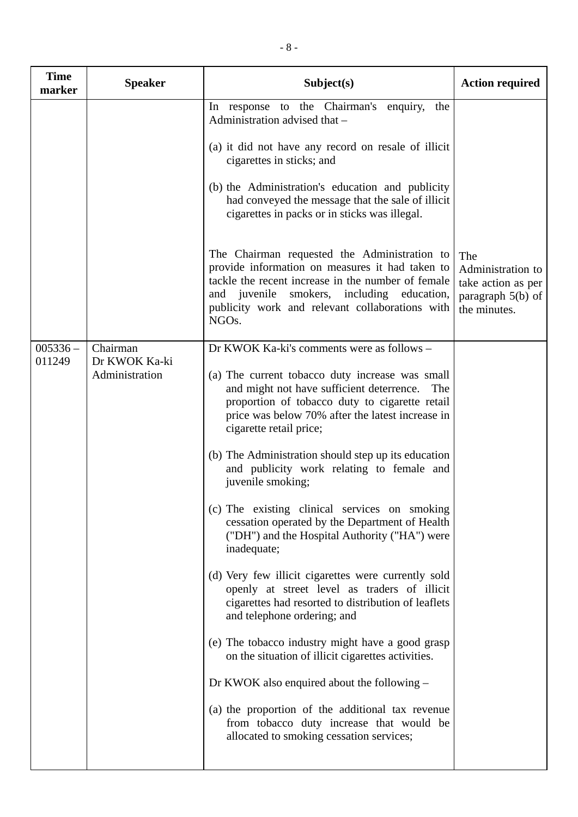| <b>Time</b><br>marker | <b>Speaker</b>                              | Subject(s)                                                                                                                                                                                                                                                                                                                                                                                                                                                                                                                                                                                                                                                                                                                                                                                                                                                                                                                                                                                                                                                                         | <b>Action required</b>                                                                |
|-----------------------|---------------------------------------------|------------------------------------------------------------------------------------------------------------------------------------------------------------------------------------------------------------------------------------------------------------------------------------------------------------------------------------------------------------------------------------------------------------------------------------------------------------------------------------------------------------------------------------------------------------------------------------------------------------------------------------------------------------------------------------------------------------------------------------------------------------------------------------------------------------------------------------------------------------------------------------------------------------------------------------------------------------------------------------------------------------------------------------------------------------------------------------|---------------------------------------------------------------------------------------|
|                       |                                             | In response to the Chairman's enquiry,<br>the<br>Administration advised that -<br>(a) it did not have any record on resale of illicit<br>cigarettes in sticks; and<br>(b) the Administration's education and publicity<br>had conveyed the message that the sale of illicit<br>cigarettes in packs or in sticks was illegal.<br>The Chairman requested the Administration to<br>provide information on measures it had taken to<br>tackle the recent increase in the number of female<br>and juvenile smokers, including education,<br>publicity work and relevant collaborations with<br>NGO <sub>s</sub> .                                                                                                                                                                                                                                                                                                                                                                                                                                                                       | The<br>Administration to<br>take action as per<br>paragraph $5(b)$ of<br>the minutes. |
| $005336 -$<br>011249  | Chairman<br>Dr KWOK Ka-ki<br>Administration | Dr KWOK Ka-ki's comments were as follows -<br>(a) The current tobacco duty increase was small<br>and might not have sufficient deterrence.<br>The<br>proportion of tobacco duty to cigarette retail<br>price was below 70% after the latest increase in<br>cigarette retail price;<br>(b) The Administration should step up its education<br>and publicity work relating to female and<br>juvenile smoking;<br>(c) The existing clinical services on smoking<br>cessation operated by the Department of Health<br>("DH") and the Hospital Authority ("HA") were<br>inadequate;<br>(d) Very few illicit cigarettes were currently sold<br>openly at street level as traders of illicit<br>cigarettes had resorted to distribution of leaflets<br>and telephone ordering; and<br>(e) The tobacco industry might have a good grasp<br>on the situation of illicit cigarettes activities.<br>Dr KWOK also enquired about the following $-$<br>(a) the proportion of the additional tax revenue<br>from tobacco duty increase that would be<br>allocated to smoking cessation services; |                                                                                       |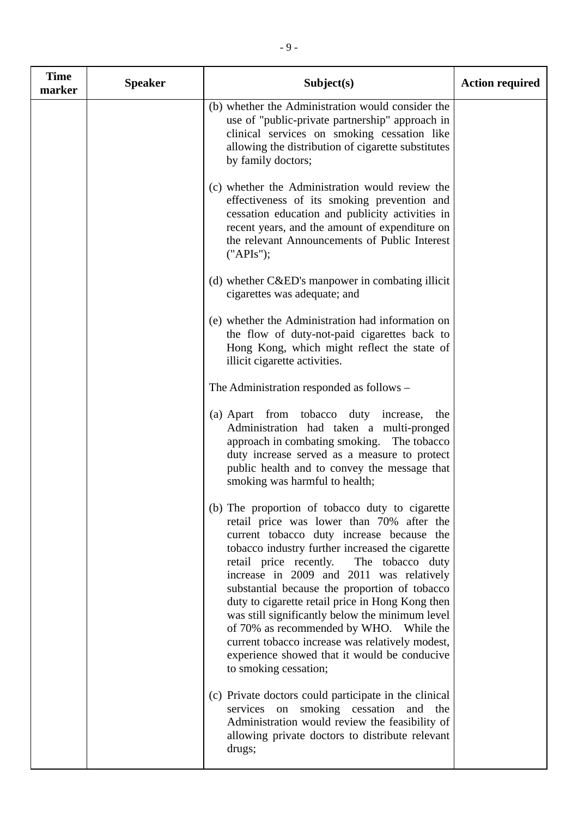| <b>Time</b><br>marker | <b>Speaker</b> | Subject(s)                                                                                                                                                                                                                                                                                                                                                                                                                                                                                                                                                                                                             | <b>Action required</b> |
|-----------------------|----------------|------------------------------------------------------------------------------------------------------------------------------------------------------------------------------------------------------------------------------------------------------------------------------------------------------------------------------------------------------------------------------------------------------------------------------------------------------------------------------------------------------------------------------------------------------------------------------------------------------------------------|------------------------|
|                       |                | (b) whether the Administration would consider the<br>use of "public-private partnership" approach in<br>clinical services on smoking cessation like<br>allowing the distribution of cigarette substitutes<br>by family doctors;                                                                                                                                                                                                                                                                                                                                                                                        |                        |
|                       |                | (c) whether the Administration would review the<br>effectiveness of its smoking prevention and<br>cessation education and publicity activities in<br>recent years, and the amount of expenditure on<br>the relevant Announcements of Public Interest<br>("APIs");                                                                                                                                                                                                                                                                                                                                                      |                        |
|                       |                | (d) whether C&ED's manpower in combating illicit<br>cigarettes was adequate; and                                                                                                                                                                                                                                                                                                                                                                                                                                                                                                                                       |                        |
|                       |                | (e) whether the Administration had information on<br>the flow of duty-not-paid cigarettes back to<br>Hong Kong, which might reflect the state of<br>illicit cigarette activities.                                                                                                                                                                                                                                                                                                                                                                                                                                      |                        |
|                       |                | The Administration responded as follows –                                                                                                                                                                                                                                                                                                                                                                                                                                                                                                                                                                              |                        |
|                       |                | (a) Apart from tobacco duty increase,<br>the<br>Administration had taken a multi-pronged<br>approach in combating smoking. The tobacco<br>duty increase served as a measure to protect<br>public health and to convey the message that<br>smoking was harmful to health;                                                                                                                                                                                                                                                                                                                                               |                        |
|                       |                | (b) The proportion of tobacco duty to cigarette<br>retail price was lower than 70% after the<br>current tobacco duty increase because the<br>tobacco industry further increased the cigarette<br>retail price recently.<br>The tobacco duty<br>increase in 2009 and 2011 was relatively<br>substantial because the proportion of tobacco<br>duty to cigarette retail price in Hong Kong then<br>was still significantly below the minimum level<br>of 70% as recommended by WHO. While the<br>current tobacco increase was relatively modest,<br>experience showed that it would be conducive<br>to smoking cessation; |                        |
|                       |                | (c) Private doctors could participate in the clinical<br>services on smoking cessation and the<br>Administration would review the feasibility of<br>allowing private doctors to distribute relevant<br>drugs;                                                                                                                                                                                                                                                                                                                                                                                                          |                        |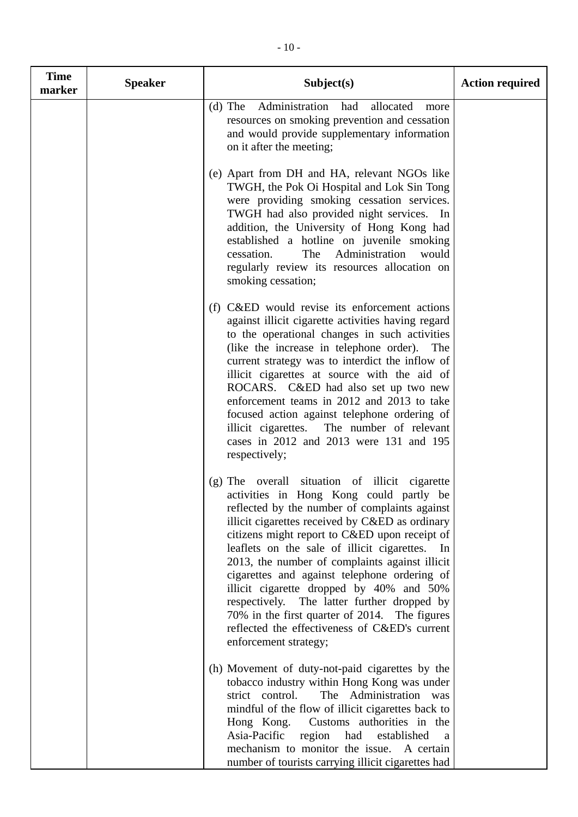| <b>Time</b><br>marker | <b>Speaker</b> | Subject(s)                                                                                                                                                                                                                                                                                                                                                                                                                                                                                                                                                                                                               | <b>Action required</b> |
|-----------------------|----------------|--------------------------------------------------------------------------------------------------------------------------------------------------------------------------------------------------------------------------------------------------------------------------------------------------------------------------------------------------------------------------------------------------------------------------------------------------------------------------------------------------------------------------------------------------------------------------------------------------------------------------|------------------------|
|                       |                | Administration<br>$(d)$ The<br>had<br>allocated<br>more<br>resources on smoking prevention and cessation<br>and would provide supplementary information<br>on it after the meeting;                                                                                                                                                                                                                                                                                                                                                                                                                                      |                        |
|                       |                | (e) Apart from DH and HA, relevant NGOs like<br>TWGH, the Pok Oi Hospital and Lok Sin Tong<br>were providing smoking cessation services.<br>TWGH had also provided night services. In<br>addition, the University of Hong Kong had<br>established a hotline on juvenile smoking<br>Administration<br>cessation.<br>The<br>would<br>regularly review its resources allocation on<br>smoking cessation;                                                                                                                                                                                                                    |                        |
|                       |                | (f) C&ED would revise its enforcement actions<br>against illicit cigarette activities having regard<br>to the operational changes in such activities<br>(like the increase in telephone order).<br>The<br>current strategy was to interdict the inflow of<br>illicit cigarettes at source with the aid of<br>ROCARS. C&ED had also set up two new<br>enforcement teams in 2012 and 2013 to take<br>focused action against telephone ordering of<br>illicit cigarettes.<br>The number of relevant<br>cases in 2012 and 2013 were 131 and 195<br>respectively;                                                             |                        |
|                       |                | (g) The overall situation of illicit cigarette<br>activities in Hong Kong could partly be<br>reflected by the number of complaints against<br>illicit cigarettes received by C&ED as ordinary<br>citizens might report to C&ED upon receipt of<br>leaflets on the sale of illicit cigarettes. In<br>2013, the number of complaints against illicit<br>cigarettes and against telephone ordering of<br>illicit cigarette dropped by 40% and 50%<br>respectively. The latter further dropped by<br>70% in the first quarter of 2014. The figures<br>reflected the effectiveness of C&ED's current<br>enforcement strategy; |                        |
|                       |                | (h) Movement of duty-not-paid cigarettes by the<br>tobacco industry within Hong Kong was under<br>strict control.<br>The Administration was<br>mindful of the flow of illicit cigarettes back to<br>Hong Kong.<br>Customs authorities in the<br>Asia-Pacific<br>region<br>had<br>established<br>a<br>mechanism to monitor the issue.<br>A certain<br>number of tourists carrying illicit cigarettes had                                                                                                                                                                                                                  |                        |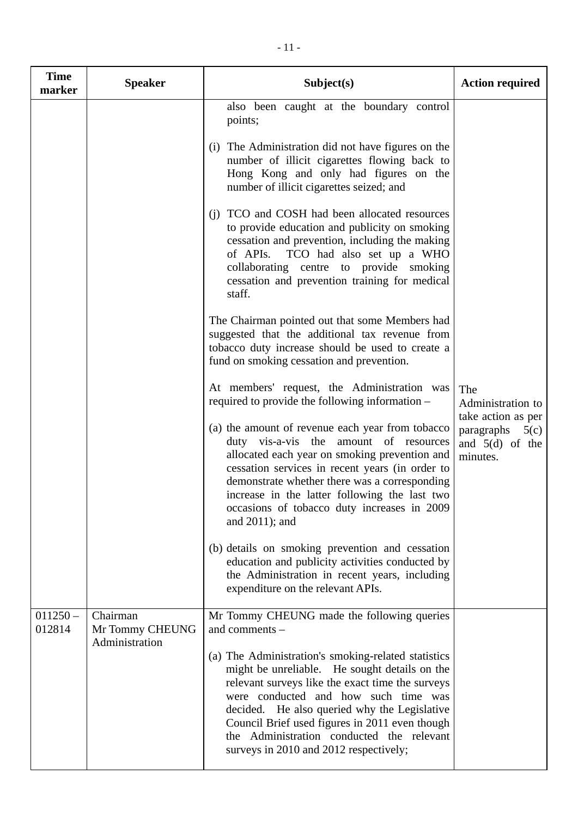| <b>Time</b><br>marker | <b>Speaker</b>                                | Subject(s)                                                                                                                                                                                                                                                                                                                                                                                                                                                                                                                                                                                                                                                         | <b>Action required</b>                                                                                |
|-----------------------|-----------------------------------------------|--------------------------------------------------------------------------------------------------------------------------------------------------------------------------------------------------------------------------------------------------------------------------------------------------------------------------------------------------------------------------------------------------------------------------------------------------------------------------------------------------------------------------------------------------------------------------------------------------------------------------------------------------------------------|-------------------------------------------------------------------------------------------------------|
|                       |                                               | also been caught at the boundary control<br>points;<br>(i) The Administration did not have figures on the<br>number of illicit cigarettes flowing back to<br>Hong Kong and only had figures on the<br>number of illicit cigarettes seized; and<br>(i) TCO and COSH had been allocated resources<br>to provide education and publicity on smoking<br>cessation and prevention, including the making                                                                                                                                                                                                                                                                 |                                                                                                       |
|                       |                                               | of APIs.<br>TCO had also set up a WHO<br>collaborating centre to provide smoking<br>cessation and prevention training for medical<br>staff.<br>The Chairman pointed out that some Members had<br>suggested that the additional tax revenue from<br>tobacco duty increase should be used to create a<br>fund on smoking cessation and prevention.                                                                                                                                                                                                                                                                                                                   |                                                                                                       |
|                       |                                               | At members' request, the Administration was<br>required to provide the following information -<br>(a) the amount of revenue each year from tobacco<br>duty vis-a-vis the amount of resources<br>allocated each year on smoking prevention and<br>cessation services in recent years (in order to<br>demonstrate whether there was a corresponding<br>increase in the latter following the last two<br>occasions of tobacco duty increases in 2009<br>and $2011$ ); and<br>(b) details on smoking prevention and cessation<br>education and publicity activities conducted by<br>the Administration in recent years, including<br>expenditure on the relevant APIs. | The<br>Administration to<br>take action as per<br>paragraphs<br>5(c)<br>and $5(d)$ of the<br>minutes. |
| $011250 -$<br>012814  | Chairman<br>Mr Tommy CHEUNG<br>Administration | Mr Tommy CHEUNG made the following queries<br>and comments -<br>(a) The Administration's smoking-related statistics<br>might be unreliable. He sought details on the<br>relevant surveys like the exact time the surveys<br>were conducted and how such time was<br>decided. He also queried why the Legislative<br>Council Brief used figures in 2011 even though<br>the Administration conducted the relevant<br>surveys in 2010 and 2012 respectively;                                                                                                                                                                                                          |                                                                                                       |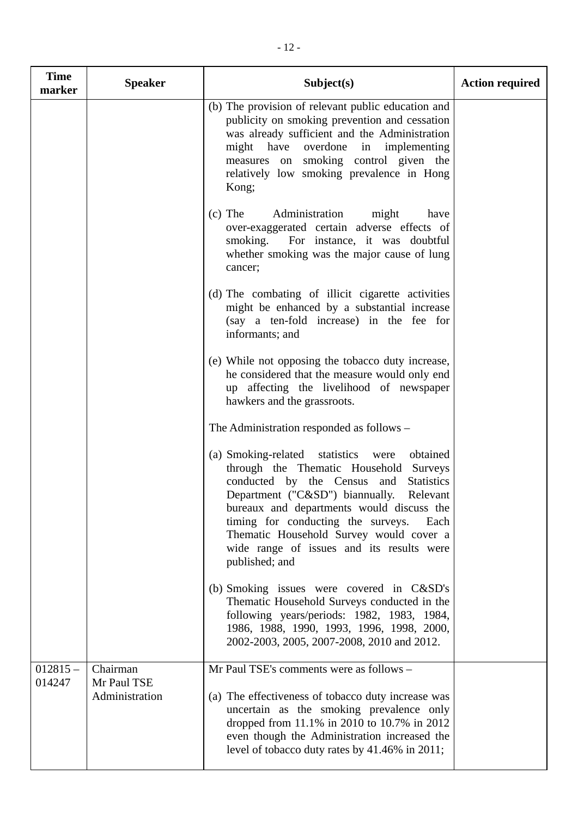| <b>Time</b><br>marker | <b>Speaker</b>          | Subject(s)                                                                                                                                                                                                                                                                                                                                                                                              | <b>Action required</b> |
|-----------------------|-------------------------|---------------------------------------------------------------------------------------------------------------------------------------------------------------------------------------------------------------------------------------------------------------------------------------------------------------------------------------------------------------------------------------------------------|------------------------|
|                       |                         | (b) The provision of relevant public education and<br>publicity on smoking prevention and cessation<br>was already sufficient and the Administration<br>might have overdone in implementing<br>measures on smoking control given the<br>relatively low smoking prevalence in Hong<br>Kong;                                                                                                              |                        |
|                       |                         | $(c)$ The<br>Administration<br>might<br>have<br>over-exaggerated certain adverse effects of<br>smoking.<br>For instance, it was doubtful<br>whether smoking was the major cause of lung<br>cancer;                                                                                                                                                                                                      |                        |
|                       |                         | (d) The combating of illicit cigarette activities<br>might be enhanced by a substantial increase<br>(say a ten-fold increase) in the fee for<br>informants; and                                                                                                                                                                                                                                         |                        |
|                       |                         | (e) While not opposing the tobacco duty increase,<br>he considered that the measure would only end<br>up affecting the livelihood of newspaper<br>hawkers and the grassroots.                                                                                                                                                                                                                           |                        |
|                       |                         | The Administration responded as follows –                                                                                                                                                                                                                                                                                                                                                               |                        |
|                       |                         | (a) Smoking-related statistics<br>obtained<br>were<br>through the Thematic Household Surveys<br>conducted by the Census<br>and<br><b>Statistics</b><br>Department ("C&SD") biannually.<br>Relevant<br>bureaux and departments would discuss the<br>timing for conducting the surveys.<br>Each<br>Thematic Household Survey would cover a<br>wide range of issues and its results were<br>published; and |                        |
|                       |                         | (b) Smoking issues were covered in C&SD's<br>Thematic Household Surveys conducted in the<br>following years/periods: 1982, 1983, 1984,<br>1986, 1988, 1990, 1993, 1996, 1998, 2000,<br>2002-2003, 2005, 2007-2008, 2010 and 2012.                                                                                                                                                                       |                        |
| $012815 -$<br>014247  | Chairman<br>Mr Paul TSE | Mr Paul TSE's comments were as follows -                                                                                                                                                                                                                                                                                                                                                                |                        |
|                       | Administration          | (a) The effectiveness of tobacco duty increase was<br>uncertain as the smoking prevalence only<br>dropped from 11.1% in 2010 to 10.7% in 2012<br>even though the Administration increased the<br>level of tobacco duty rates by 41.46% in 2011;                                                                                                                                                         |                        |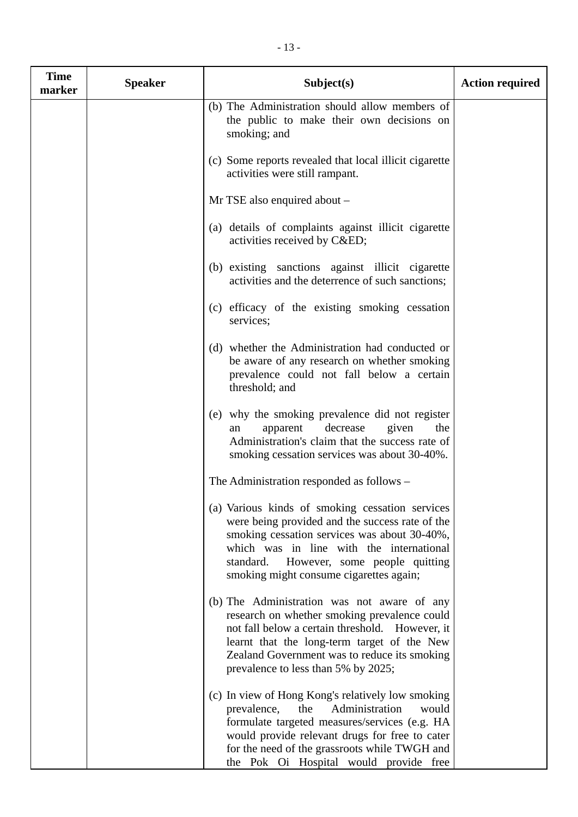| <b>Time</b><br>marker | <b>Speaker</b> | Subject(s)                                                                                                                                                                                                                                                                                       | <b>Action required</b> |
|-----------------------|----------------|--------------------------------------------------------------------------------------------------------------------------------------------------------------------------------------------------------------------------------------------------------------------------------------------------|------------------------|
|                       |                | (b) The Administration should allow members of<br>the public to make their own decisions on<br>smoking; and                                                                                                                                                                                      |                        |
|                       |                | (c) Some reports revealed that local illicit cigarette<br>activities were still rampant.                                                                                                                                                                                                         |                        |
|                       |                | Mr TSE also enquired about -                                                                                                                                                                                                                                                                     |                        |
|                       |                | (a) details of complaints against illicit cigarette<br>activities received by C&ED                                                                                                                                                                                                               |                        |
|                       |                | (b) existing sanctions against illicit cigarette<br>activities and the deterrence of such sanctions;                                                                                                                                                                                             |                        |
|                       |                | (c) efficacy of the existing smoking cessation<br>services;                                                                                                                                                                                                                                      |                        |
|                       |                | (d) whether the Administration had conducted or<br>be aware of any research on whether smoking<br>prevalence could not fall below a certain<br>threshold; and                                                                                                                                    |                        |
|                       |                | (e) why the smoking prevalence did not register<br>decrease<br>apparent<br>given<br>the<br>an<br>Administration's claim that the success rate of<br>smoking cessation services was about 30-40%.                                                                                                 |                        |
|                       |                | The Administration responded as follows –                                                                                                                                                                                                                                                        |                        |
|                       |                | (a) Various kinds of smoking cessation services<br>were being provided and the success rate of the<br>smoking cessation services was about 30-40%,<br>which was in line with the international<br>standard. However, some people quitting<br>smoking might consume cigarettes again;             |                        |
|                       |                | (b) The Administration was not aware of any<br>research on whether smoking prevalence could<br>not fall below a certain threshold. However, it<br>learnt that the long-term target of the New<br>Zealand Government was to reduce its smoking<br>prevalence to less than 5% by 2025;             |                        |
|                       |                | (c) In view of Hong Kong's relatively low smoking<br>prevalence,<br>the<br>Administration<br>would<br>formulate targeted measures/services (e.g. HA<br>would provide relevant drugs for free to cater<br>for the need of the grassroots while TWGH and<br>the Pok Oi Hospital would provide free |                        |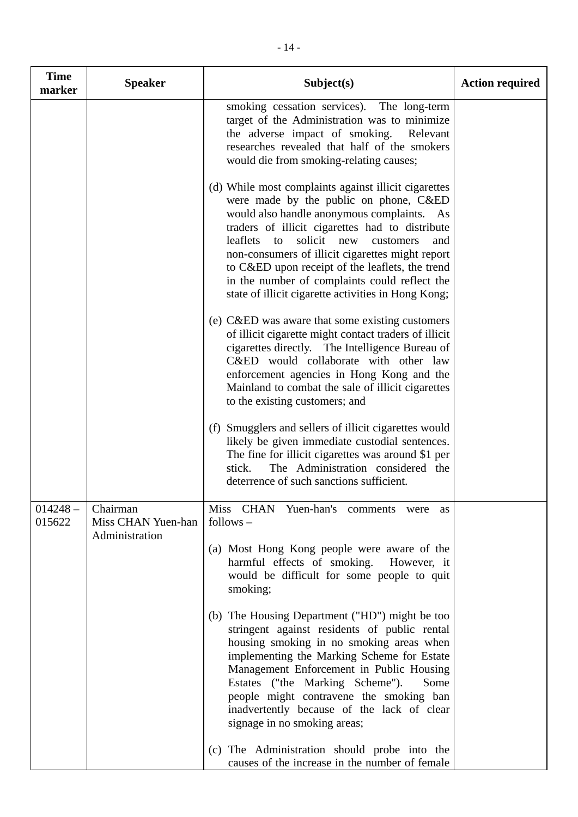| <b>Time</b><br>marker | <b>Speaker</b>                 | Subject(s)                                                                                                                                                                                                                                                                                                                                                                                                                                                             | <b>Action required</b> |
|-----------------------|--------------------------------|------------------------------------------------------------------------------------------------------------------------------------------------------------------------------------------------------------------------------------------------------------------------------------------------------------------------------------------------------------------------------------------------------------------------------------------------------------------------|------------------------|
|                       |                                | smoking cessation services). The long-term<br>target of the Administration was to minimize<br>the adverse impact of smoking.<br>Relevant<br>researches revealed that half of the smokers<br>would die from smoking-relating causes;                                                                                                                                                                                                                                    |                        |
|                       |                                | (d) While most complaints against illicit cigarettes<br>were made by the public on phone, C&ED<br>would also handle anonymous complaints. As<br>traders of illicit cigarettes had to distribute<br>leaflets<br>solicit<br>to<br>new<br>customers<br>and<br>non-consumers of illicit cigarettes might report<br>to C&ED upon receipt of the leaflets, the trend<br>in the number of complaints could reflect the<br>state of illicit cigarette activities in Hong Kong; |                        |
|                       |                                | (e) C&ED was aware that some existing customers<br>of illicit cigarette might contact traders of illicit<br>cigarettes directly. The Intelligence Bureau of<br>C&ED would collaborate with other law<br>enforcement agencies in Hong Kong and the<br>Mainland to combat the sale of illicit cigarettes<br>to the existing customers; and                                                                                                                               |                        |
|                       |                                | (f) Smugglers and sellers of illicit cigarettes would<br>likely be given immediate custodial sentences.<br>The fine for illicit cigarettes was around \$1 per<br>The Administration considered the<br>stick.<br>deterrence of such sanctions sufficient.                                                                                                                                                                                                               |                        |
| $014248 -$<br>015622  | Chairman<br>Miss CHAN Yuen-han | Miss CHAN Yuen-han's comments<br>were<br>as<br>$follows -$                                                                                                                                                                                                                                                                                                                                                                                                             |                        |
|                       | Administration                 | (a) Most Hong Kong people were aware of the<br>harmful effects of smoking.<br>However, it<br>would be difficult for some people to quit<br>smoking;                                                                                                                                                                                                                                                                                                                    |                        |
|                       |                                | (b) The Housing Department ("HD") might be too<br>stringent against residents of public rental<br>housing smoking in no smoking areas when<br>implementing the Marking Scheme for Estate<br>Management Enforcement in Public Housing<br>Estates ("the Marking Scheme").<br>Some<br>people might contravene the smoking ban<br>inadvertently because of the lack of clear<br>signage in no smoking areas;                                                               |                        |
|                       |                                | (c) The Administration should probe into the<br>causes of the increase in the number of female                                                                                                                                                                                                                                                                                                                                                                         |                        |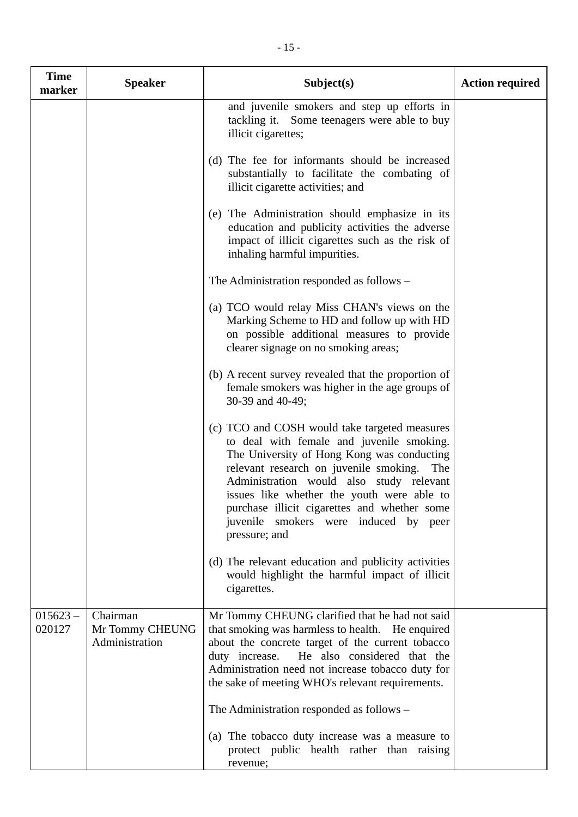| <b>Time</b><br>marker | <b>Speaker</b>                                | Subject(s)                                                                                                                                                                                                                                                                                                                                                                                 | <b>Action required</b> |
|-----------------------|-----------------------------------------------|--------------------------------------------------------------------------------------------------------------------------------------------------------------------------------------------------------------------------------------------------------------------------------------------------------------------------------------------------------------------------------------------|------------------------|
|                       |                                               | and juvenile smokers and step up efforts in<br>tackling it. Some teenagers were able to buy<br>illicit cigarettes;                                                                                                                                                                                                                                                                         |                        |
|                       |                                               | (d) The fee for informants should be increased<br>substantially to facilitate the combating of<br>illicit cigarette activities; and                                                                                                                                                                                                                                                        |                        |
|                       |                                               | (e) The Administration should emphasize in its<br>education and publicity activities the adverse<br>impact of illicit cigarettes such as the risk of<br>inhaling harmful impurities.                                                                                                                                                                                                       |                        |
|                       |                                               | The Administration responded as follows –                                                                                                                                                                                                                                                                                                                                                  |                        |
|                       |                                               | (a) TCO would relay Miss CHAN's views on the<br>Marking Scheme to HD and follow up with HD<br>on possible additional measures to provide<br>clearer signage on no smoking areas;                                                                                                                                                                                                           |                        |
|                       |                                               | (b) A recent survey revealed that the proportion of<br>female smokers was higher in the age groups of<br>30-39 and 40-49;                                                                                                                                                                                                                                                                  |                        |
|                       |                                               | (c) TCO and COSH would take targeted measures<br>to deal with female and juvenile smoking.<br>The University of Hong Kong was conducting<br>relevant research on juvenile smoking. The<br>Administration would also study relevant<br>issues like whether the youth were able to<br>purchase illicit cigarettes and whether some<br>juvenile smokers were induced by peer<br>pressure; and |                        |
|                       |                                               | (d) The relevant education and publicity activities<br>would highlight the harmful impact of illicit<br>cigarettes.                                                                                                                                                                                                                                                                        |                        |
| $015623 -$<br>020127  | Chairman<br>Mr Tommy CHEUNG<br>Administration | Mr Tommy CHEUNG clarified that he had not said<br>that smoking was harmless to health. He enquired<br>about the concrete target of the current tobacco<br>duty increase.<br>He also considered that the<br>Administration need not increase tobacco duty for<br>the sake of meeting WHO's relevant requirements.                                                                           |                        |
|                       |                                               | The Administration responded as follows –                                                                                                                                                                                                                                                                                                                                                  |                        |
|                       |                                               | (a) The tobacco duty increase was a measure to<br>protect public health rather than raising<br>revenue;                                                                                                                                                                                                                                                                                    |                        |